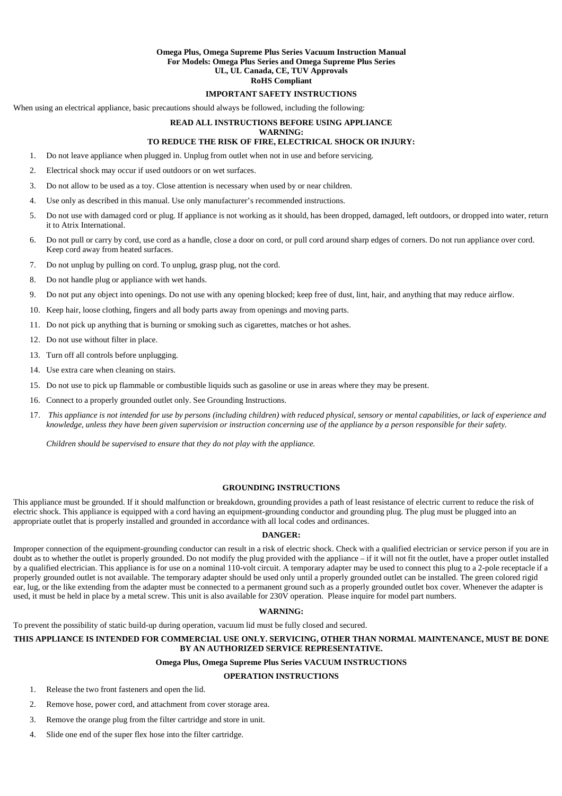## **Omega Plus, Omega Supreme Plus Series Vacuum Instruction Manual For Models: Omega Plus Series and Omega Supreme Plus Series UL, UL Canada, CE, TUV Approvals RoHS Compliant**

### **IMPORTANT SAFETY INSTRUCTIONS**

When using an electrical appliance, basic precautions should always be followed, including the following:

## **READ ALL INSTRUCTIONS BEFORE USING APPLIANCE**

## **WARNING:**

# **TO REDUCE THE RISK OF FIRE, ELECTRICAL SHOCK OR INJURY:**

- 1. Do not leave appliance when plugged in. Unplug from outlet when not in use and before servicing.
- 2. Electrical shock may occur if used outdoors or on wet surfaces.
- 3. Do not allow to be used as a toy. Close attention is necessary when used by or near children.
- 4. Use only as described in this manual. Use only manufacturer's recommended instructions.
- 5. Do not use with damaged cord or plug. If appliance is not working as it should, has been dropped, damaged, left outdoors, or dropped into water, return it to Atrix International.
- 6. Do not pull or carry by cord, use cord as a handle, close a door on cord, or pull cord around sharp edges of corners. Do not run appliance over cord. Keep cord away from heated surfaces.
- 7. Do not unplug by pulling on cord. To unplug, grasp plug, not the cord.
- 8. Do not handle plug or appliance with wet hands.
- 9. Do not put any object into openings. Do not use with any opening blocked; keep free of dust, lint, hair, and anything that may reduce airflow.
- 10. Keep hair, loose clothing, fingers and all body parts away from openings and moving parts.
- 11. Do not pick up anything that is burning or smoking such as cigarettes, matches or hot ashes.
- 12. Do not use without filter in place.
- 13. Turn off all controls before unplugging.
- 14. Use extra care when cleaning on stairs.
- 15. Do not use to pick up flammable or combustible liquids such as gasoline or use in areas where they may be present.
- 16. Connect to a properly grounded outlet only. See Grounding Instructions.
- 17. *This appliance is not intended for use by persons (including children) with reduced physical, sensory or mental capabilities, or lack of experience and knowledge, unless they have been given supervision or instruction concerning use of the appliance by a person responsible for their safety.*

*Children should be supervised to ensure that they do not play with the appliance.*

#### **GROUNDING INSTRUCTIONS**

This appliance must be grounded. If it should malfunction or breakdown, grounding provides a path of least resistance of electric current to reduce the risk of electric shock. This appliance is equipped with a cord having an equipment-grounding conductor and grounding plug. The plug must be plugged into an appropriate outlet that is properly installed and grounded in accordance with all local codes and ordinances.

#### **DANGER:**

Improper connection of the equipment-grounding conductor can result in a risk of electric shock. Check with a qualified electrician or service person if you are in doubt as to whether the outlet is properly grounded. Do not modify the plug provided with the appliance – if it will not fit the outlet, have a proper outlet installed by a qualified electrician. This appliance is for use on a nominal 110-volt circuit. A temporary adapter may be used to connect this plug to a 2-pole receptacle if a properly grounded outlet is not available. The temporary adapter should be used only until a properly grounded outlet can be installed. The green colored rigid ear, lug, or the like extending from the adapter must be connected to a permanent ground such as a properly grounded outlet box cover. Whenever the adapter is used, it must be held in place by a metal screw. This unit is also available for 230V operation. Please inquire for model part numbers.

#### **WARNING:**

To prevent the possibility of static build-up during operation, vacuum lid must be fully closed and secured.

## **THIS APPLIANCE IS INTENDED FOR COMMERCIAL USE ONLY. SERVICING, OTHER THAN NORMAL MAINTENANCE, MUST BE DONE BY AN AUTHORIZED SERVICE REPRESENTATIVE.**

#### **Omega Plus, Omega Supreme Plus Series VACUUM INSTRUCTIONS**

## **OPERATION INSTRUCTIONS**

- 1. Release the two front fasteners and open the lid.
- 2. Remove hose, power cord, and attachment from cover storage area.
- 3. Remove the orange plug from the filter cartridge and store in unit.
- 4. Slide one end of the super flex hose into the filter cartridge.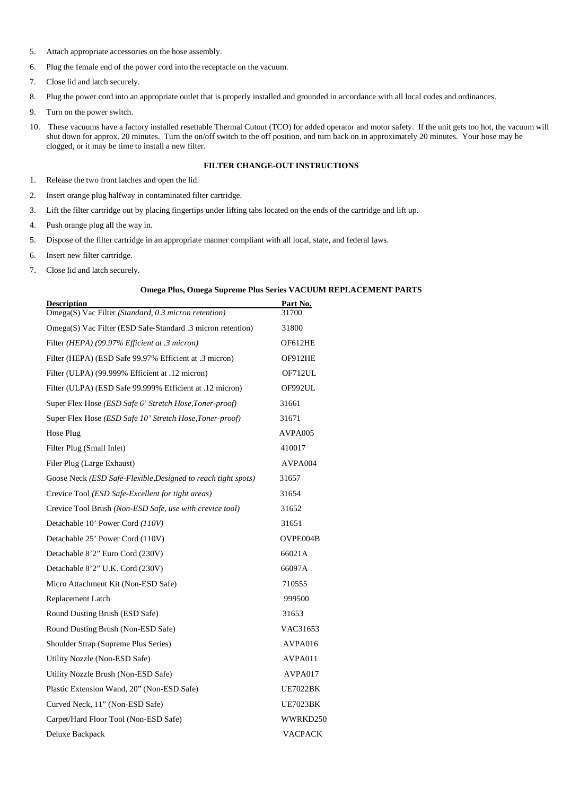- 5. Attach appropriate accessories on the hose assembly.
- 6. Plug the female end of the power cord into the receptacle on the vacuum.
- 7. Close lid and latch securely.
- 8. Plug the power cord into an appropriate outlet that is properly installed and grounded in accordance with all local codes and ordinances.
- 9. Turn on the power switch.
- 10. These vacuums have a factory installed resettable Thermal Cutout (TCO) for added operator and motor safety. If the unit gets too hot, the vacuum will shut down for approx. 20 minutes. Turn the on/off switch to the off position, and turn back on in approximately 20 minutes. Your hose may be clogged, or it may be time to install a new filter.

## **FILTER CHANGE-OUT INSTRUCTIONS**

- 1. Release the two front latches and open the lid.
- 2. Insert orange plug halfway in contaminated filter cartridge.
- 3. Lift the filter cartridge out by placing fingertips under lifting tabs located on the ends of the cartridge and lift up.
- 4. Push orange plug all the way in.
- 5. Dispose of the filter cartridge in an appropriate manner compliant with all local, state, and federal laws.
- 6. Insert new filter cartridge.
- 7. Close lid and latch securely.

## **Omega Plus, Omega Supreme Plus Series VACUUM REPLACEMENT PARTS**

| <b>Description</b><br>Omega(S) Vac Filter (Standard, 0.3 micron retention) | Part No.<br>31700 |
|----------------------------------------------------------------------------|-------------------|
| Omega(S) Vac Filter (ESD Safe-Standard .3 micron retention)                | 31800             |
| Filter (HEPA) (99.97% Efficient at .3 micron)                              | OF612HE           |
| Filter (HEPA) (ESD Safe 99.97% Efficient at .3 micron)                     | OF912HE           |
| Filter (ULPA) (99.999% Efficient at .12 micron)                            | OF712UL           |
| Filter (ULPA) (ESD Safe 99.999% Efficient at .12 micron)                   | OF992UL           |
| Super Flex Hose (ESD Safe 6' Stretch Hose, Toner-proof)                    | 31661             |
| Super Flex Hose (ESD Safe 10' Stretch Hose, Toner-proof)                   | 31671             |
| Hose Plug                                                                  | AVPA005           |
| Filter Plug (Small Inlet)                                                  | 410017            |
| Filer Plug (Large Exhaust)                                                 | AVPA004           |
| Goose Neck (ESD Safe-Flexible, Designed to reach tight spots)              | 31657             |
| Crevice Tool ( <i>ESD Safe-Excellent for tight areas</i> )                 | 31654             |
| Crevice Tool Brush (Non-ESD Safe, use with crevice tool)                   | 31652             |
| Detachable 10' Power Cord (110V)                                           | 31651             |
| Detachable 25' Power Cord (110V)                                           | OVPE004B          |
| Detachable 8'2" Euro Cord (230V)                                           | 66021A            |
| Detachable 8'2" U.K. Cord (230V)                                           | 66097A            |
| Micro Attachment Kit (Non-ESD Safe)                                        | 710555            |
| Replacement Latch                                                          | 999500            |
| Round Dusting Brush (ESD Safe)                                             | 31653             |
| Round Dusting Brush (Non-ESD Safe)                                         | VAC31653          |
| Shoulder Strap (Supreme Plus Series)                                       | AVPA016           |
| Utility Nozzle (Non-ESD Safe)                                              | AVPA011           |
| Utility Nozzle Brush (Non-ESD Safe)                                        | AVPA017           |
| Plastic Extension Wand, 20" (Non-ESD Safe)                                 | <b>UE7022BK</b>   |
| Curved Neck, 11" (Non-ESD Safe)                                            | <b>UE7023BK</b>   |
| Carpet/Hard Floor Tool (Non-ESD Safe)                                      | WWRKD250          |
| Deluxe Backpack                                                            | <b>VACPACK</b>    |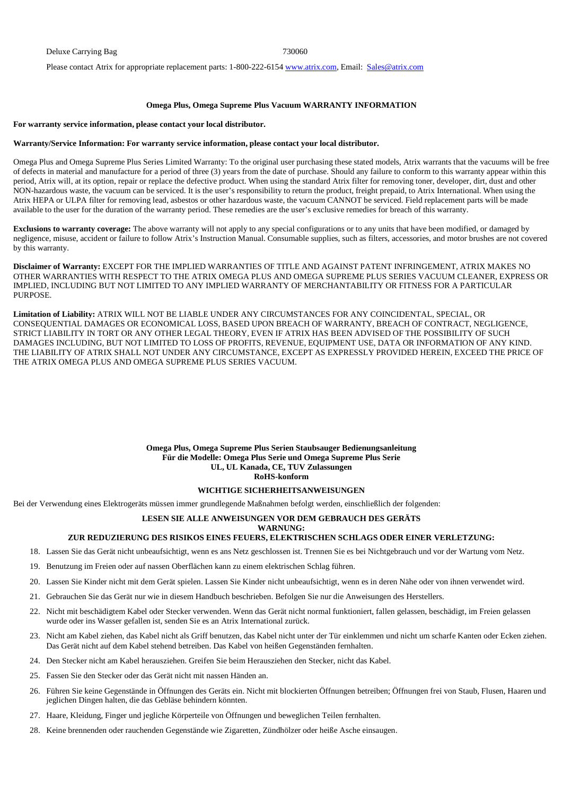Please contact Atrix for appropriate replacement parts: 1-800-222-6154 www.atrix.com, Email: Sales@atrix.com

#### **Omega Plus, Omega Supreme Plus Vacuum WARRANTY INFORMATION**

#### **For warranty service information, please contact your local distributor.**

#### **Warranty/Service Information: For warranty service information, please contact your local distributor.**

Omega Plus and Omega Supreme Plus Series Limited Warranty: To the original user purchasing these stated models, Atrix warrants that the vacuums will be free of defects in material and manufacture for a period of three (3) years from the date of purchase. Should any failure to conform to this warranty appear within this period, Atrix will, at its option, repair or replace the defective product. When using the standard Atrix filter for removing toner, developer, dirt, dust and other NON-hazardous waste, the vacuum can be serviced. It is the user's responsibility to return the product, freight prepaid, to Atrix International. When using the Atrix HEPA or ULPA filter for removing lead, asbestos or other hazardous waste, the vacuum CANNOT be serviced. Field replacement parts will be made available to the user for the duration of the warranty period. These remedies are the user's exclusive remedies for breach of this warranty.

**Exclusions to warranty coverage:** The above warranty will not apply to any special configurations or to any units that have been modified, or damaged by negligence, misuse, accident or failure to follow Atrix's Instruction Manual. Consumable supplies, such as filters, accessories, and motor brushes are not covered by this warranty.

**Disclaimer of Warranty:** EXCEPT FOR THE IMPLIED WARRANTIES OF TITLE AND AGAINST PATENT INFRINGEMENT, ATRIX MAKES NO OTHER WARRANTIES WITH RESPECT TO THE ATRIX OMEGA PLUS AND OMEGA SUPREME PLUS SERIES VACUUM CLEANER, EXPRESS OR IMPLIED, INCLUDING BUT NOT LIMITED TO ANY IMPLIED WARRANTY OF MERCHANTABILITY OR FITNESS FOR A PARTICULAR PURPOSE.

**Limitation of Liability:** ATRIX WILL NOT BE LIABLE UNDER ANY CIRCUMSTANCES FOR ANY COINCIDENTAL, SPECIAL, OR CONSEQUENTIAL DAMAGES OR ECONOMICAL LOSS, BASED UPON BREACH OF WARRANTY, BREACH OF CONTRACT, NEGLIGENCE, STRICT LIABILITY IN TORT OR ANY OTHER LEGAL THEORY, EVEN IF ATRIX HAS BEEN ADVISED OF THE POSSIBILITY OF SUCH DAMAGES INCLUDING, BUT NOT LIMITED TO LOSS OF PROFITS, REVENUE, EQUIPMENT USE, DATA OR INFORMATION OF ANY KIND. THE LIABILITY OF ATRIX SHALL NOT UNDER ANY CIRCUMSTANCE, EXCEPT AS EXPRESSLY PROVIDED HEREIN, EXCEED THE PRICE OF THE ATRIX OMEGA PLUS AND OMEGA SUPREME PLUS SERIES VACUUM.

> **Omega Plus, Omega Supreme Plus Serien Staubsauger Bedienungsanleitung Für die Modelle: Omega Plus Serie und Omega Supreme Plus Serie UL, UL Kanada, CE, TUV Zulassungen RoHS-konform**

### **WICHTIGE SICHERHEITSANWEISUNGEN**

Bei der Verwendung eines Elektrogeräts müssen immer grundlegende Maßnahmen befolgt werden, einschließlich der folgenden:

### **LESEN SIE ALLE ANWEISUNGEN VOR DEM GEBRAUCH DES GERÄTS**

# **WARNUNG:**

## **ZUR REDUZIERUNG DES RISIKOS EINES FEUERS, ELEKTRISCHEN SCHLAGS ODER EINER VERLETZUNG:**

- 18. Lassen Sie das Gerät nicht unbeaufsichtigt, wenn es ans Netz geschlossen ist. Trennen Sie es bei Nichtgebrauch und vor der Wartung vom Netz.
- 19. Benutzung im Freien oder auf nassen Oberflächen kann zu einem elektrischen Schlag führen.
- 20. Lassen Sie Kinder nicht mit dem Gerät spielen. Lassen Sie Kinder nicht unbeaufsichtigt, wenn es in deren Nähe oder von ihnen verwendet wird.
- 21. Gebrauchen Sie das Gerät nur wie in diesem Handbuch beschrieben. Befolgen Sie nur die Anweisungen des Herstellers.
- 22. Nicht mit beschädigtem Kabel oder Stecker verwenden. Wenn das Gerät nicht normal funktioniert, fallen gelassen, beschädigt, im Freien gelassen wurde oder ins Wasser gefallen ist, senden Sie es an Atrix International zurück.
- 23. Nicht am Kabel ziehen, das Kabel nicht als Griff benutzen, das Kabel nicht unter der Tür einklemmen und nicht um scharfe Kanten oder Ecken ziehen. Das Gerät nicht auf dem Kabel stehend betreiben. Das Kabel von heißen Gegenständen fernhalten.
- 24. Den Stecker nicht am Kabel herausziehen. Greifen Sie beim Herausziehen den Stecker, nicht das Kabel.
- 25. Fassen Sie den Stecker oder das Gerät nicht mit nassen Händen an.
- 26. Führen Sie keine Gegenstände in Öffnungen des Geräts ein. Nicht mit blockierten Öffnungen betreiben; Öffnungen frei von Staub, Flusen, Haaren und jeglichen Dingen halten, die das Gebläse behindern könnten.
- 27. Haare, Kleidung, Finger und jegliche Körperteile von Öffnungen und beweglichen Teilen fernhalten.
- 28. Keine brennenden oder rauchenden Gegenstände wie Zigaretten, Zündhölzer oder heiße Asche einsaugen.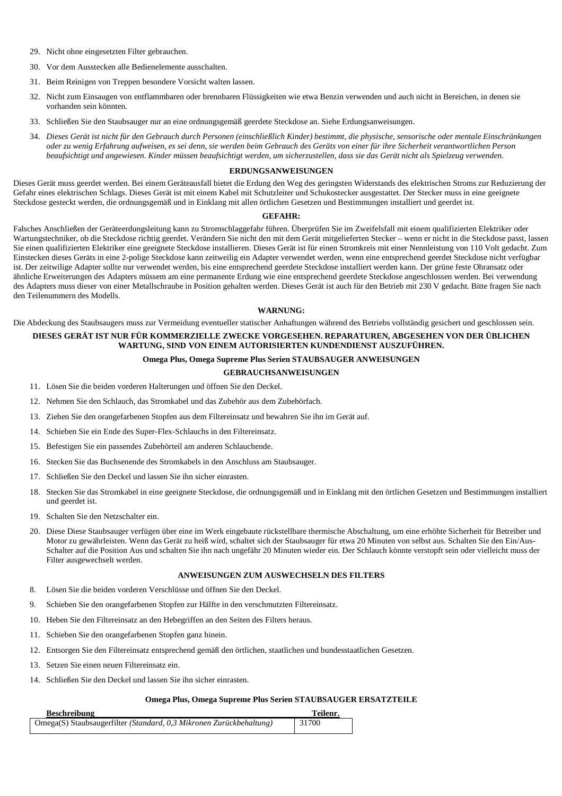- 29. Nicht ohne eingesetzten Filter gebrauchen.
- 30. Vor dem Ausstecken alle Bedienelemente ausschalten.
- 31. Beim Reinigen von Treppen besondere Vorsicht walten lassen.
- 32. Nicht zum Einsaugen von entflammbaren oder brennbaren Flüssigkeiten wie etwa Benzin verwenden und auch nicht in Bereichen, in denen sie vorhanden sein könnten.
- 33. Schließen Sie den Staubsauger nur an eine ordnungsgemäß geerdete Steckdose an. Siehe Erdungsanweisungen.
- 34. *Dieses Gerät ist nicht für den Gebrauch durch Personen (einschließlich Kinder) bestimmt, die physische, sensorische oder mentale Einschränkungen oder zu wenig Erfahrung aufweisen, es sei denn, sie werden beim Gebrauch des Geräts von einer für ihre Sicherheit verantwortlichen Person beaufsichtigt und angewiesen. Kinder müssen beaufsichtigt werden, um sicherzustellen, dass sie das Gerät nicht als Spielzeug verwenden.*

## **ERDUNGSANWEISUNGEN**

Dieses Gerät muss geerdet werden. Bei einem Geräteausfall bietet die Erdung den Weg des geringsten Widerstands des elektrischen Stroms zur Reduzierung der Gefahr eines elektrischen Schlags. Dieses Gerät ist mit einem Kabel mit Schutzleiter und Schukostecker ausgestattet. Der Stecker muss in eine geeignete Steckdose gesteckt werden, die ordnungsgemäß und in Einklang mit allen örtlichen Gesetzen und Bestimmungen installiert und geerdet ist.

#### **GEFAHR:**

Falsches Anschließen der Geräteerdungsleitung kann zu Stromschlaggefahr führen. Überprüfen Sie im Zweifelsfall mit einem qualifizierten Elektriker oder Wartungstechniker, ob die Steckdose richtig geerdet. Verändern Sie nicht den mit dem Gerät mitgelieferten Stecker – wenn er nicht in die Steckdose passt, lassen Sie einen qualifizierten Elektriker eine geeignete Steckdose installieren. Dieses Gerät ist für einen Stromkreis mit einer Nennleistung von 110 Volt gedacht. Zum Einstecken dieses Geräts in eine 2-polige Steckdose kann zeitweilig ein Adapter verwendet werden, wenn eine entsprechend geerdet Steckdose nicht verfügbar ist. Der zeitwilige Adapter sollte nur verwendet werden, bis eine entsprechend geerdete Steckdose installiert werden kann. Der grüne feste Ohransatz oder ähnliche Erweiterungen des Adapters müssem am eine permanente Erdung wie eine entsprechend geerdete Steckdose angeschlossen werden. Bei verwendung des Adapters muss dieser von einer Metallschraube in Position gehalten werden. Dieses Gerät ist auch für den Betrieb mit 230 V gedacht. Bitte fragen Sie nach den Teilenummern des Modells.

#### **WARNUNG:**

Die Abdeckung des Staubsaugers muss zur Vermeidung eventueller statischer Anhaftungen während des Betriebs vollständig gesichert und geschlossen sein. **DIESES GERÄT IST NUR FÜR KOMMERZIELLE ZWECKE VORGESEHEN. REPARATUREN, ABGESEHEN VON DER ÜBLICHEN WARTUNG, SIND VON EINEM AUTORISIERTEN KUNDENDIENST AUSZUFÜHREN.** 

## **Omega Plus, Omega Supreme Plus Serien STAUBSAUGER ANWEISUNGEN**

#### **GEBRAUCHSANWEISUNGEN**

- 11. Lösen Sie die beiden vorderen Halterungen und öffnen Sie den Deckel.
- 12. Nehmen Sie den Schlauch, das Stromkabel und das Zubehör aus dem Zubehörfach.
- 13. Ziehen Sie den orangefarbenen Stopfen aus dem Filtereinsatz und bewahren Sie ihn im Gerät auf.
- 14. Schieben Sie ein Ende des Super-Flex-Schlauchs in den Filtereinsatz.
- 15. Befestigen Sie ein passendes Zubehörteil am anderen Schlauchende.
- 16. Stecken Sie das Buchsenende des Stromkabels in den Anschluss am Staubsauger.
- 17. Schließen Sie den Deckel und lassen Sie ihn sicher einrasten.
- 18. Stecken Sie das Stromkabel in eine geeignete Steckdose, die ordnungsgemäß und in Einklang mit den örtlichen Gesetzen und Bestimmungen installiert und geerdet ist.
- 19. Schalten Sie den Netzschalter ein.
- 20. Diese Diese Staubsauger verfügen über eine im Werk eingebaute rückstellbare thermische Abschaltung, um eine erhöhte Sicherheit für Betreiber und Motor zu gewährleisten. Wenn das Gerät zu heiß wird, schaltet sich der Staubsauger für etwa 20 Minuten von selbst aus. Schalten Sie den Ein/Aus-Schalter auf die Position Aus und schalten Sie ihn nach ungefähr 20 Minuten wieder ein. Der Schlauch könnte verstopft sein oder vielleicht muss der Filter ausgewechselt werden.

## **ANWEISUNGEN ZUM AUSWECHSELN DES FILTERS**

- 8. Lösen Sie die beiden vorderen Verschlüsse und öffnen Sie den Deckel.
- 9. Schieben Sie den orangefarbenen Stopfen zur Hälfte in den verschmutzten Filtereinsatz.
- 10. Heben Sie den Filtereinsatz an den Hebegriffen an den Seiten des Filters heraus.
- 11. Schieben Sie den orangefarbenen Stopfen ganz hinein.
- 12. Entsorgen Sie den Filtereinsatz entsprechend gemäß den örtlichen, staatlichen und bundesstaatlichen Gesetzen.
- 13. Setzen Sie einen neuen Filtereinsatz ein.
- 14. Schließen Sie den Deckel und lassen Sie ihn sicher einrasten.

## **Omega Plus, Omega Supreme Plus Serien STAUBSAUGER ERSATZTEILE**

| <b>Beschreibung</b>                                                 | Teilenr. |
|---------------------------------------------------------------------|----------|
| Omega(S) Staubsaugerfilter (Standard, 0,3 Mikronen Zurückbehaltung) | 31700    |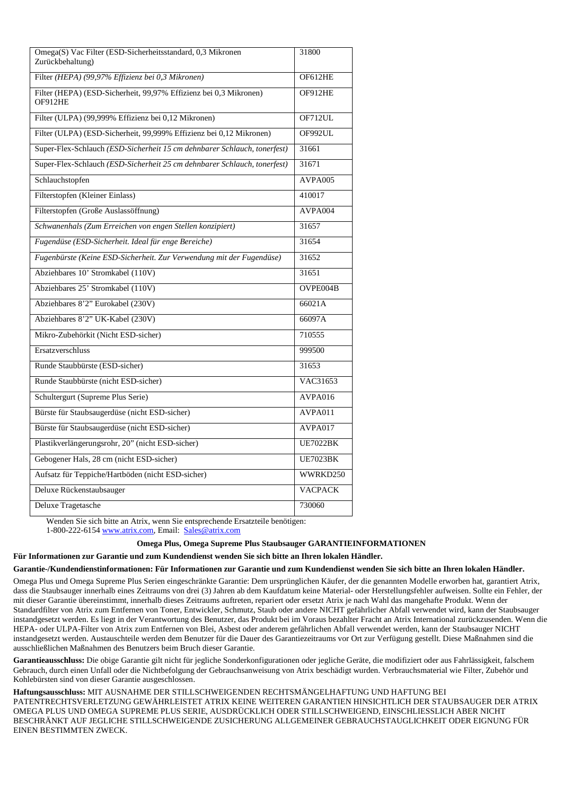| Omega(S) Vac Filter (ESD-Sicherheitsstandard, 0,3 Mikronen<br>Zurückbehaltung) | 31800           |
|--------------------------------------------------------------------------------|-----------------|
| Filter (HEPA) (99,97% Effizienz bei 0,3 Mikronen)                              | OF612HE         |
| Filter (HEPA) (ESD-Sicherheit, 99,97% Effizienz bei 0,3 Mikronen)<br>OF912HE   | OF912HE         |
| Filter (ULPA) (99,999% Effizienz bei 0,12 Mikronen)                            | OF712UL         |
| Filter (ULPA) (ESD-Sicherheit, 99,999% Effizienz bei 0,12 Mikronen)            | OF992UL         |
| Super-Flex-Schlauch (ESD-Sicherheit 15 cm dehnbarer Schlauch, tonerfest)       | 31661           |
| Super-Flex-Schlauch (ESD-Sicherheit 25 cm dehnbarer Schlauch, tonerfest)       | 31671           |
| Schlauchstopfen                                                                | AVPA005         |
| Filterstopfen (Kleiner Einlass)                                                | 410017          |
| Filterstopfen (Große Auslassöffnung)                                           | AVPA004         |
| Schwanenhals (Zum Erreichen von engen Stellen konzipiert)                      | 31657           |
| Fugendüse (ESD-Sicherheit. Ideal für enge Bereiche)                            | 31654           |
| Fugenbürste (Keine ESD-Sicherheit. Zur Verwendung mit der Fugendüse)           | 31652           |
| Abziehbares 10' Stromkabel (110V)                                              | 31651           |
| Abziehbares 25' Stromkabel (110V)                                              | OVPE004B        |
| Abziehbares 8'2" Eurokabel (230V)                                              | 66021A          |
| Abziehbares 8'2" UK-Kabel (230V)                                               | 66097A          |
| Mikro-Zubehörkit (Nicht ESD-sicher)                                            | 710555          |
| Ersatzverschluss                                                               | 999500          |
| Runde Staubbürste (ESD-sicher)                                                 | 31653           |
| Runde Staubbürste (nicht ESD-sicher)                                           | VAC31653        |
| Schultergurt (Supreme Plus Serie)                                              | AVPA016         |
| Bürste für Staubsaugerdüse (nicht ESD-sicher)                                  | AVPA011         |
| Bürste für Staubsaugerdüse (nicht ESD-sicher)                                  | AVPA017         |
| Plastikverlängerungsrohr, 20" (nicht ESD-sicher)                               | <b>UE7022BK</b> |
| Gebogener Hals, 28 cm (nicht ESD-sicher)                                       | <b>UE7023BK</b> |
| Aufsatz für Teppiche/Hartböden (nicht ESD-sicher)                              | WWRKD250        |
| Deluxe Rückenstaubsauger                                                       | <b>VACPACK</b>  |
| Deluxe Tragetasche                                                             | 730060          |

Wenden Sie sich bitte an Atrix, wenn Sie entsprechende Ersatzteile benötigen:

## 1-800-222-6154 www.atrix.com, Email: Sales@atrix.com

## **Omega Plus, Omega Supreme Plus Staubsauger GARANTIEINFORMATIONEN**

**Für Informationen zur Garantie und zum Kundendienst wenden Sie sich bitte an Ihren lokalen Händler.** 

#### **Garantie-/Kundendienstinformationen: Für Informationen zur Garantie und zum Kundendienst wenden Sie sich bitte an Ihren lokalen Händler.**

Omega Plus und Omega Supreme Plus Serien eingeschränkte Garantie: Dem ursprünglichen Käufer, der die genannten Modelle erworben hat, garantiert Atrix, dass die Staubsauger innerhalb eines Zeitraums von drei (3) Jahren ab dem Kaufdatum keine Material- oder Herstellungsfehler aufweisen. Sollte ein Fehler, der mit dieser Garantie übereinstimmt, innerhalb dieses Zeitraums auftreten, repariert oder ersetzt Atrix je nach Wahl das mangehafte Produkt. Wenn der Standardfilter von Atrix zum Entfernen von Toner, Entwickler, Schmutz, Staub oder andere NICHT gefährlicher Abfall verwendet wird, kann der Staubsauger instandgesetzt werden. Es liegt in der Verantwortung des Benutzer, das Produkt bei im Voraus bezahlter Fracht an Atrix International zurückzusenden. Wenn die HEPA- oder ULPA-Filter von Atrix zum Entfernen von Blei, Asbest oder anderem gefährlichen Abfall verwendet werden, kann der Staubsauger NICHT instandgesetzt werden. Austauschteile werden dem Benutzer für die Dauer des Garantiezeitraums vor Ort zur Verfügung gestellt. Diese Maßnahmen sind die ausschließlichen Maßnahmen des Benutzers beim Bruch dieser Garantie.

**Garantieausschluss:** Die obige Garantie gilt nicht für jegliche Sonderkonfigurationen oder jegliche Geräte, die modifiziert oder aus Fahrlässigkeit, falschem Gebrauch, durch einen Unfall oder die Nichtbefolgung der Gebrauchsanweisung von Atrix beschädigt wurden. Verbrauchsmaterial wie Filter, Zubehör und Kohlebürsten sind von dieser Garantie ausgeschlossen.

**Haftungsausschluss:** MIT AUSNAHME DER STILLSCHWEIGENDEN RECHTSMÄNGELHAFTUNG UND HAFTUNG BEI PATENTRECHTSVERLETZUNG GEWÄHRLEISTET ATRIX KEINE WEITEREN GARANTIEN HINSICHTLICH DER STAUBSAUGER DER ATRIX OMEGA PLUS UND OMEGA SUPREME PLUS SERIE, AUSDRÜCKLICH ODER STILLSCHWEIGEND, EINSCHLIESSLICH ABER NICHT BESCHRÄNKT AUF JEGLICHE STILLSCHWEIGENDE ZUSICHERUNG ALLGEMEINER GEBRAUCHSTAUGLICHKEIT ODER EIGNUNG FÜR EINEN BESTIMMTEN ZWECK.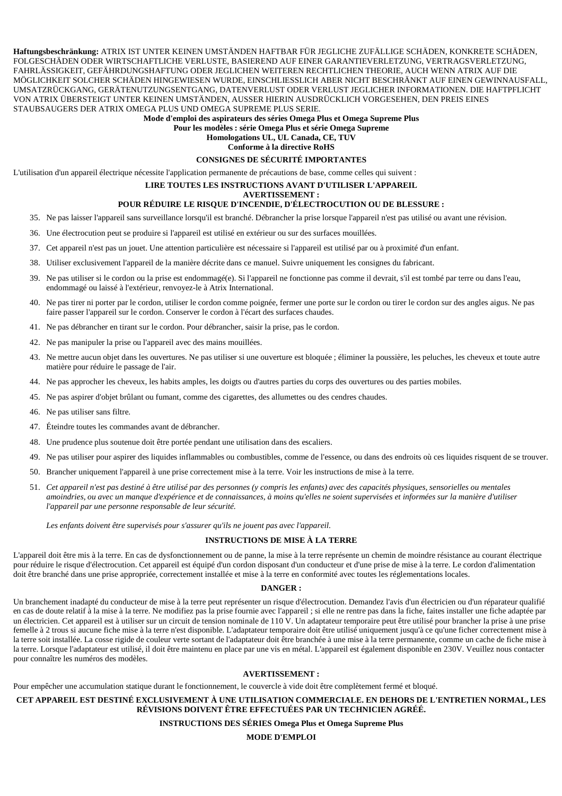**Haftungsbeschränkung:** ATRIX IST UNTER KEINEN UMSTÄNDEN HAFTBAR FÜR JEGLICHE ZUFÄLLIGE SCHÄDEN, KONKRETE SCHÄDEN, FOLGESCHÄDEN ODER WIRTSCHAFTLICHE VERLUSTE, BASIEREND AUF EINER GARANTIEVERLETZUNG, VERTRAGSVERLETZUNG, FAHRLÄSSIGKEIT, GEFÄHRDUNGSHAFTUNG ODER JEGLICHEN WEITEREN RECHTLICHEN THEORIE, AUCH WENN ATRIX AUF DIE MÖGLICHKEIT SOLCHER SCHÄDEN HINGEWIESEN WURDE, EINSCHLIESSLICH ABER NICHT BESCHRÄNKT AUF EINEN GEWINNAUSFALL, UMSATZRÜCKGANG, GERÄTENUTZUNGSENTGANG, DATENVERLUST ODER VERLUST JEGLICHER INFORMATIONEN. DIE HAFTPFLICHT VON ATRIX ÜBERSTEIGT UNTER KEINEN UMSTÄNDEN, AUSSER HIERIN AUSDRÜCKLICH VORGESEHEN, DEN PREIS EINES STAUBSAUGERS DER ATRIX OMEGA PLUS UND OMEGA SUPREME PLUS SERIE.

**Mode d'emploi des aspirateurs des séries Omega Plus et Omega Supreme Plus** 

**Pour les modèles : série Omega Plus et série Omega Supreme** 

**Homologations UL, UL Canada, CE, TUV Conforme à la directive RoHS** 

# **CONSIGNES DE SÉCURITÉ IMPORTANTES**

L'utilisation d'un appareil électrique nécessite l'application permanente de précautions de base, comme celles qui suivent :

## **LIRE TOUTES LES INSTRUCTIONS AVANT D'UTILISER L'APPAREIL**

**AVERTISSEMENT :** 

## **POUR RÉDUIRE LE RISQUE D'INCENDIE, D'ÉLECTROCUTION OU DE BLESSURE :**

- 35. Ne pas laisser l'appareil sans surveillance lorsqu'il est branché. Débrancher la prise lorsque l'appareil n'est pas utilisé ou avant une révision.
- 36. Une électrocution peut se produire si l'appareil est utilisé en extérieur ou sur des surfaces mouillées.
- 37. Cet appareil n'est pas un jouet. Une attention particulière est nécessaire si l'appareil est utilisé par ou à proximité d'un enfant.
- 38. Utiliser exclusivement l'appareil de la manière décrite dans ce manuel. Suivre uniquement les consignes du fabricant.
- 39. Ne pas utiliser si le cordon ou la prise est endommagé(e). Si l'appareil ne fonctionne pas comme il devrait, s'il est tombé par terre ou dans l'eau, endommagé ou laissé à l'extérieur, renvoyez-le à Atrix International.
- 40. Ne pas tirer ni porter par le cordon, utiliser le cordon comme poignée, fermer une porte sur le cordon ou tirer le cordon sur des angles aigus. Ne pas faire passer l'appareil sur le cordon. Conserver le cordon à l'écart des surfaces chaudes.
- 41. Ne pas débrancher en tirant sur le cordon. Pour débrancher, saisir la prise, pas le cordon.
- 42. Ne pas manipuler la prise ou l'appareil avec des mains mouillées.
- 43. Ne mettre aucun objet dans les ouvertures. Ne pas utiliser si une ouverture est bloquée ; éliminer la poussière, les peluches, les cheveux et toute autre matière pour réduire le passage de l'air.
- 44. Ne pas approcher les cheveux, les habits amples, les doigts ou d'autres parties du corps des ouvertures ou des parties mobiles.
- 45. Ne pas aspirer d'objet brûlant ou fumant, comme des cigarettes, des allumettes ou des cendres chaudes.
- 46. Ne pas utiliser sans filtre.
- 47. Éteindre toutes les commandes avant de débrancher.
- 48. Une prudence plus soutenue doit être portée pendant une utilisation dans des escaliers.
- 49. Ne pas utiliser pour aspirer des liquides inflammables ou combustibles, comme de l'essence, ou dans des endroits où ces liquides risquent de se trouver.
- 50. Brancher uniquement l'appareil à une prise correctement mise à la terre. Voir les instructions de mise à la terre.
- 51. *Cet appareil n'est pas destiné à être utilisé par des personnes (y compris les enfants) avec des capacités physiques, sensorielles ou mentales amoindries, ou avec un manque d'expérience et de connaissances, à moins qu'elles ne soient supervisées et informées sur la manière d'utiliser l'appareil par une personne responsable de leur sécurité.*

*Les enfants doivent être supervisés pour s'assurer qu'ils ne jouent pas avec l'appareil.*

## **INSTRUCTIONS DE MISE À LA TERRE**

L'appareil doit être mis à la terre. En cas de dysfonctionnement ou de panne, la mise à la terre représente un chemin de moindre résistance au courant électrique pour réduire le risque d'électrocution. Cet appareil est équipé d'un cordon disposant d'un conducteur et d'une prise de mise à la terre. Le cordon d'alimentation doit être branché dans une prise appropriée, correctement installée et mise à la terre en conformité avec toutes les réglementations locales.

#### **DANGER :**

Un branchement inadapté du conducteur de mise à la terre peut représenter un risque d'électrocution. Demandez l'avis d'un électricien ou d'un réparateur qualifié en cas de doute relatif à la mise à la terre. Ne modifiez pas la prise fournie avec l'appareil ; si elle ne rentre pas dans la fiche, faites installer une fiche adaptée par un électricien. Cet appareil est à utiliser sur un circuit de tension nominale de 110 V. Un adaptateur temporaire peut être utilisé pour brancher la prise à une prise femelle à 2 trous si aucune fiche mise à la terre n'est disponible. L'adaptateur temporaire doit être utilisé uniquement jusqu'à ce qu'une ficher correctement mise à la terre soit installée. La cosse rigide de couleur verte sortant de l'adaptateur doit être branchée à une mise à la terre permanente, comme un cache de fiche mise à la terre. Lorsque l'adaptateur est utilisé, il doit être maintenu en place par une vis en métal. L'appareil est également disponible en 230V. Veuillez nous contacter pour connaître les numéros des modèles.

#### **AVERTISSEMENT :**

Pour empêcher une accumulation statique durant le fonctionnement, le couvercle à vide doit être complètement fermé et bloqué.

## **CET APPAREIL EST DESTINÉ EXCLUSIVEMENT À UNE UTILISATION COMMERCIALE. EN DEHORS DE L'ENTRETIEN NORMAL, LES RÉVISIONS DOIVENT ÊTRE EFFECTUÉES PAR UN TECHNICIEN AGRÉÉ.**

## **INSTRUCTIONS DES SÉRIES Omega Plus et Omega Supreme Plus**

**MODE D'EMPLOI**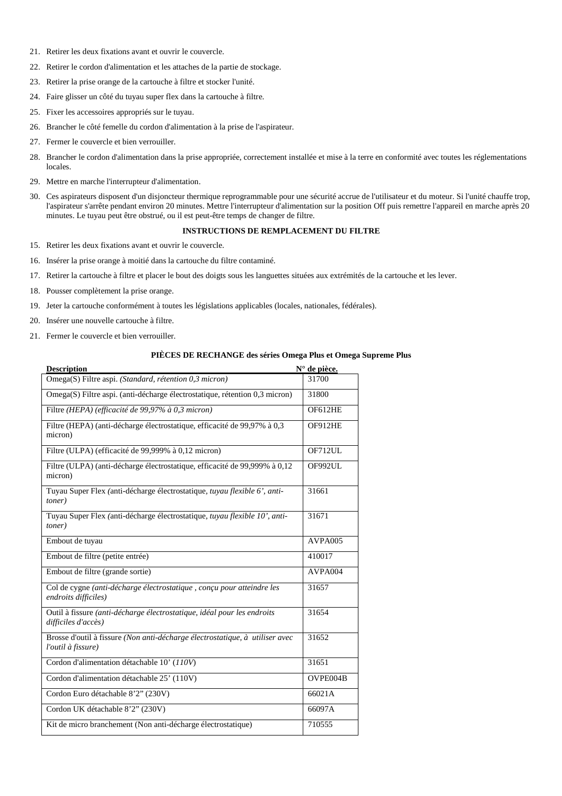- 21. Retirer les deux fixations avant et ouvrir le couvercle.
- 22. Retirer le cordon d'alimentation et les attaches de la partie de stockage.
- 23. Retirer la prise orange de la cartouche à filtre et stocker l'unité.
- 24. Faire glisser un côté du tuyau super flex dans la cartouche à filtre.
- 25. Fixer les accessoires appropriés sur le tuyau.
- 26. Brancher le côté femelle du cordon d'alimentation à la prise de l'aspirateur.
- 27. Fermer le couvercle et bien verrouiller.
- 28. Brancher le cordon d'alimentation dans la prise appropriée, correctement installée et mise à la terre en conformité avec toutes les réglementations locales.
- 29. Mettre en marche l'interrupteur d'alimentation.
- 30. Ces aspirateurs disposent d'un disjoncteur thermique reprogrammable pour une sécurité accrue de l'utilisateur et du moteur. Si l'unité chauffe trop, l'aspirateur s'arrête pendant environ 20 minutes. Mettre l'interrupteur d'alimentation sur la position Off puis remettre l'appareil en marche après 20 minutes. Le tuyau peut être obstrué, ou il est peut-être temps de changer de filtre.

## **INSTRUCTIONS DE REMPLACEMENT DU FILTRE**

- 15. Retirer les deux fixations avant et ouvrir le couvercle.
- 16. Insérer la prise orange à moitié dans la cartouche du filtre contaminé.
- 17. Retirer la cartouche à filtre et placer le bout des doigts sous les languettes situées aux extrémités de la cartouche et les lever.
- 18. Pousser complètement la prise orange.
- 19. Jeter la cartouche conformément à toutes les législations applicables (locales, nationales, fédérales).
- 20. Insérer une nouvelle cartouche à filtre.
- 21. Fermer le couvercle et bien verrouiller.

#### **PIÈCES DE RECHANGE des séries Omega Plus et Omega Supreme Plus**

| <b>Description</b>                                                                                 | N° de pièce.   |
|----------------------------------------------------------------------------------------------------|----------------|
| Omega(S) Filtre aspi. (Standard, rétention 0,3 micron)                                             | 31700          |
| Omega(S) Filtre aspi. (anti-décharge électrostatique, rétention 0,3 micron)                        | 31800          |
| Filtre (HEPA) (efficacité de 99,97% à 0,3 micron)                                                  | <b>OF612HE</b> |
| Filtre (HEPA) (anti-décharge électrostatique, efficacité de 99,97% à 0,3<br>micron)                | OF912HE        |
| Filtre (ULPA) (efficacité de 99,999% à 0,12 micron)                                                | OF712UL        |
| Filtre (ULPA) (anti-décharge électrostatique, efficacité de 99,999% à 0,12<br>micron)              | OF992UL        |
| Tuyau Super Flex (anti-décharge électrostatique, tuyau flexible 6', anti-<br>toner)                | 31661          |
| Tuyau Super Flex (anti-décharge électrostatique, tuyau flexible 10', anti-<br>toner)               | 31671          |
| Embout de tuyau                                                                                    | AVPA005        |
| Embout de filtre (petite entrée)                                                                   | 410017         |
| Embout de filtre (grande sortie)                                                                   | AVPA004        |
| Col de cygne (anti-décharge électrostatique, conçu pour atteindre les<br>endroits difficiles)      | 31657          |
| Outil à fissure (anti-décharge électrostatique, idéal pour les endroits<br>difficiles d'accès)     | 31654          |
| Brosse d'outil à fissure (Non anti-décharge électrostatique, à utiliser avec<br>l'outil à fissure) | 31652          |
| Cordon d'alimentation détachable 10' (110V)                                                        | 31651          |
| Cordon d'alimentation détachable 25' (110V)                                                        | OVPE004B       |
| Cordon Euro détachable 8'2" (230V)                                                                 | 66021A         |
| Cordon UK détachable 8'2" (230V)                                                                   | 66097A         |
| Kit de micro branchement (Non anti-décharge électrostatique)                                       | 710555         |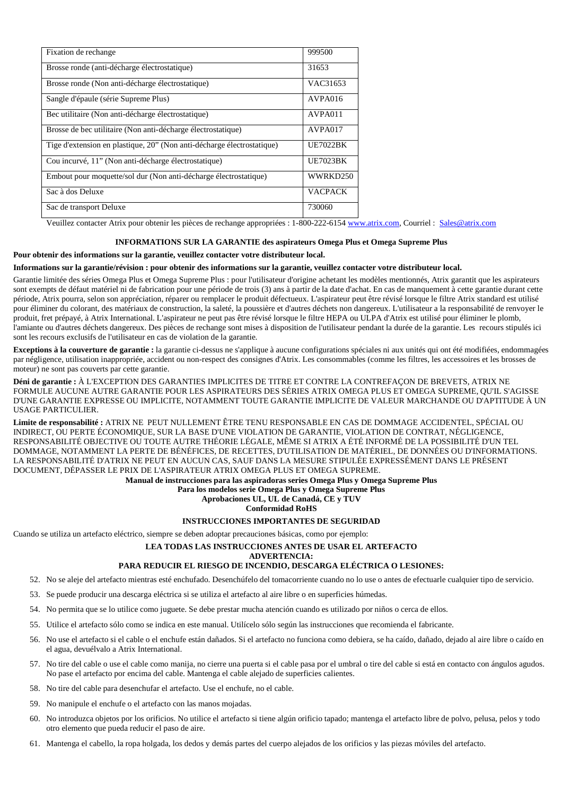| Fixation de rechange                                                   | 999500          |
|------------------------------------------------------------------------|-----------------|
| Brosse ronde (anti-décharge électrostatique)                           | 31653           |
| Brosse ronde (Non anti-décharge électrostatique)                       | VAC31653        |
| Sangle d'épaule (série Supreme Plus)                                   | AVPA016         |
| Bec utilitaire (Non anti-décharge électrostatique)                     | AVPA011         |
| Brosse de bec utilitaire (Non anti-décharge électrostatique)           | AVPA017         |
| Tige d'extension en plastique, 20" (Non anti-décharge électrostatique) | <b>UE7022BK</b> |
| Cou incurvé, 11" (Non anti-décharge électrostatique)                   | <b>UE7023BK</b> |
| Embout pour moquette/sol dur (Non anti-décharge électrostatique)       | WWRKD250        |
| Sac à dos Deluxe                                                       | <b>VACPACK</b>  |
| Sac de transport Deluxe                                                | 730060          |

Veuillez contacter Atrix pour obtenir les pièces de rechange appropriées : 1-800-222-6154 www.atrix.com, Courriel : Sales@atrix.com

### **INFORMATIONS SUR LA GARANTIE des aspirateurs Omega Plus et Omega Supreme Plus**

#### **Pour obtenir des informations sur la garantie, veuillez contacter votre distributeur local.**

#### **Informations sur la garantie/révision : pour obtenir des informations sur la garantie, veuillez contacter votre distributeur local.**

Garantie limitée des séries Omega Plus et Omega Supreme Plus : pour l'utilisateur d'origine achetant les modèles mentionnés, Atrix garantit que les aspirateurs sont exempts de défaut matériel ni de fabrication pour une période de trois (3) ans à partir de la date d'achat. En cas de manquement à cette garantie durant cette période, Atrix pourra, selon son appréciation, réparer ou remplacer le produit défectueux. L'aspirateur peut être révisé lorsque le filtre Atrix standard est utilisé pour éliminer du colorant, des matériaux de construction, la saleté, la poussière et d'autres déchets non dangereux. L'utilisateur a la responsabilité de renvoyer le produit, fret prépayé, à Atrix International. L'aspirateur ne peut pas être révisé lorsque le filtre HEPA ou ULPA d'Atrix est utilisé pour éliminer le plomb, l'amiante ou d'autres déchets dangereux. Des pièces de rechange sont mises à disposition de l'utilisateur pendant la durée de la garantie. Les recours stipulés ici sont les recours exclusifs de l'utilisateur en cas de violation de la garantie.

**Exceptions à la couverture de garantie :** la garantie ci-dessus ne s'applique à aucune configurations spéciales ni aux unités qui ont été modifiées, endommagées par négligence, utilisation inappropriée, accident ou non-respect des consignes d'Atrix. Les consommables (comme les filtres, les accessoires et les brosses de moteur) ne sont pas couverts par cette garantie.

**Déni de garantie :** À L'EXCEPTION DES GARANTIES IMPLICITES DE TITRE ET CONTRE LA CONTREFAÇON DE BREVETS, ATRIX NE FORMULE AUCUNE AUTRE GARANTIE POUR LES ASPIRATEURS DES SÉRIES ATRIX OMEGA PLUS ET OMEGA SUPREME, QU'IL S'AGISSE D'UNE GARANTIE EXPRESSE OU IMPLICITE, NOTAMMENT TOUTE GARANTIE IMPLICITE DE VALEUR MARCHANDE OU D'APTITUDE À UN USAGE PARTICULIER.

**Limite de responsabilité :** ATRIX NE PEUT NULLEMENT ÊTRE TENU RESPONSABLE EN CAS DE DOMMAGE ACCIDENTEL, SPÉCIAL OU INDIRECT, OU PERTE ÉCONOMIQUE, SUR LA BASE D'UNE VIOLATION DE GARANTIE, VIOLATION DE CONTRAT, NÉGLIGENCE, RESPONSABILITÉ OBJECTIVE OU TOUTE AUTRE THÉORIE LÉGALE, MÊME SI ATRIX A ÉTÉ INFORMÉ DE LA POSSIBILITÉ D'UN TEL DOMMAGE, NOTAMMENT LA PERTE DE BÉNÉFICES, DE RECETTES, D'UTILISATION DE MATÉRIEL, DE DONNÉES OU D'INFORMATIONS. LA RESPONSABILITÉ D'ATRIX NE PEUT EN AUCUN CAS, SAUF DANS LA MESURE STIPULÉE EXPRESSÉMENT DANS LE PRÉSENT DOCUMENT, DÉPASSER LE PRIX DE L'ASPIRATEUR ATRIX OMEGA PLUS ET OMEGA SUPREME.

**Manual de instrucciones para las aspiradoras series Omega Plus y Omega Supreme Plus** 

## **Para los modelos serie Omega Plus y Omega Supreme Plus**

# **Aprobaciones UL, UL de Canadá, CE y TUV**

**Conformidad RoHS** 

## **INSTRUCCIONES IMPORTANTES DE SEGURIDAD**

Cuando se utiliza un artefacto eléctrico, siempre se deben adoptar precauciones básicas, como por ejemplo:

#### **LEA TODAS LAS INSTRUCCIONES ANTES DE USAR EL ARTEFACTO**

#### **ADVERTENCIA:**

## **PARA REDUCIR EL RIESGO DE INCENDIO, DESCARGA ELÉCTRICA O LESIONES:**

- 52. No se aleje del artefacto mientras esté enchufado. Desenchúfelo del tomacorriente cuando no lo use o antes de efectuarle cualquier tipo de servicio.
- 53. Se puede producir una descarga eléctrica si se utiliza el artefacto al aire libre o en superficies húmedas.
- 54. No permita que se lo utilice como juguete. Se debe prestar mucha atención cuando es utilizado por niños o cerca de ellos.
- 55. Utilice el artefacto sólo como se indica en este manual. Utilícelo sólo según las instrucciones que recomienda el fabricante.
- 56. No use el artefacto si el cable o el enchufe están dañados. Si el artefacto no funciona como debiera, se ha caído, dañado, dejado al aire libre o caído en el agua, devuélvalo a Atrix International.
- 57. No tire del cable o use el cable como manija, no cierre una puerta si el cable pasa por el umbral o tire del cable si está en contacto con ángulos agudos. No pase el artefacto por encima del cable. Mantenga el cable alejado de superficies calientes.
- 58. No tire del cable para desenchufar el artefacto. Use el enchufe, no el cable.
- 59. No manipule el enchufe o el artefacto con las manos mojadas.
- 60. No introduzca objetos por los orificios. No utilice el artefacto si tiene algún orificio tapado; mantenga el artefacto libre de polvo, pelusa, pelos y todo otro elemento que pueda reducir el paso de aire.
- 61. Mantenga el cabello, la ropa holgada, los dedos y demás partes del cuerpo alejados de los orificios y las piezas móviles del artefacto.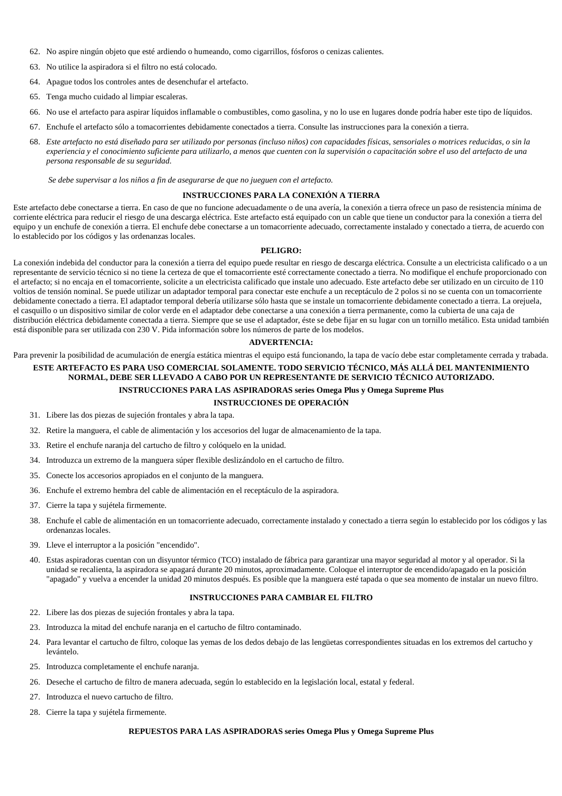- 62. No aspire ningún objeto que esté ardiendo o humeando, como cigarrillos, fósforos o cenizas calientes.
- 63. No utilice la aspiradora si el filtro no está colocado.
- 64. Apague todos los controles antes de desenchufar el artefacto.
- 65. Tenga mucho cuidado al limpiar escaleras.
- 66. No use el artefacto para aspirar líquidos inflamable o combustibles, como gasolina, y no lo use en lugares donde podría haber este tipo de líquidos.
- 67. Enchufe el artefacto sólo a tomacorrientes debidamente conectados a tierra. Consulte las instrucciones para la conexión a tierra.
- 68. *Este artefacto no está diseñado para ser utilizado por personas (incluso niños) con capacidades físicas, sensoriales o motrices reducidas, o sin la experiencia y el conocimiento suficiente para utilizarlo, a menos que cuenten con la supervisión o capacitación sobre el uso del artefacto de una persona responsable de su seguridad.*

 *Se debe supervisar a los niños a fin de asegurarse de que no jueguen con el artefacto.* 

#### **INSTRUCCIONES PARA LA CONEXIÓN A TIERRA**

Este artefacto debe conectarse a tierra. En caso de que no funcione adecuadamente o de una avería, la conexión a tierra ofrece un paso de resistencia mínima de corriente eléctrica para reducir el riesgo de una descarga eléctrica. Este artefacto está equipado con un cable que tiene un conductor para la conexión a tierra del equipo y un enchufe de conexión a tierra. El enchufe debe conectarse a un tomacorriente adecuado, correctamente instalado y conectado a tierra, de acuerdo con lo establecido por los códigos y las ordenanzas locales.

#### **PELIGRO:**

La conexión indebida del conductor para la conexión a tierra del equipo puede resultar en riesgo de descarga eléctrica. Consulte a un electricista calificado o a un representante de servicio técnico si no tiene la certeza de que el tomacorriente esté correctamente conectado a tierra. No modifique el enchufe proporcionado con el artefacto; si no encaja en el tomacorriente, solicite a un electricista calificado que instale uno adecuado. Este artefacto debe ser utilizado en un circuito de 110 voltios de tensión nominal. Se puede utilizar un adaptador temporal para conectar este enchufe a un receptáculo de 2 polos si no se cuenta con un tomacorriente debidamente conectado a tierra. El adaptador temporal debería utilizarse sólo hasta que se instale un tomacorriente debidamente conectado a tierra. La orejuela, el casquillo o un dispositivo similar de color verde en el adaptador debe conectarse a una conexión a tierra permanente, como la cubierta de una caja de distribución eléctrica debidamente conectada a tierra. Siempre que se use el adaptador, éste se debe fijar en su lugar con un tornillo metálico. Esta unidad también está disponible para ser utilizada con 230 V. Pida información sobre los números de parte de los modelos.

## **ADVERTENCIA:**

Para prevenir la posibilidad de acumulación de energía estática mientras el equipo está funcionando, la tapa de vacío debe estar completamente cerrada y trabada.

## **ESTE ARTEFACTO ES PARA USO COMERCIAL SOLAMENTE. TODO SERVICIO TÉCNICO, MÁS ALLÁ DEL MANTENIMIENTO NORMAL, DEBE SER LLEVADO A CABO POR UN REPRESENTANTE DE SERVICIO TÉCNICO AUTORIZADO. INSTRUCCIONES PARA LAS ASPIRADORAS series Omega Plus y Omega Supreme Plus**

# **INSTRUCCIONES DE OPERACIÓN**

- 31. Libere las dos piezas de sujeción frontales y abra la tapa.
- 32. Retire la manguera, el cable de alimentación y los accesorios del lugar de almacenamiento de la tapa.
- 33. Retire el enchufe naranja del cartucho de filtro y colóquelo en la unidad.
- 34. Introduzca un extremo de la manguera súper flexible deslizándolo en el cartucho de filtro.
- 35. Conecte los accesorios apropiados en el conjunto de la manguera.
- 36. Enchufe el extremo hembra del cable de alimentación en el receptáculo de la aspiradora.
- 37. Cierre la tapa y sujétela firmemente.
- 38. Enchufe el cable de alimentación en un tomacorriente adecuado, correctamente instalado y conectado a tierra según lo establecido por los códigos y las ordenanzas locales.
- 39. Lleve el interruptor a la posición "encendido".
- 40. Estas aspiradoras cuentan con un disyuntor térmico (TCO) instalado de fábrica para garantizar una mayor seguridad al motor y al operador. Si la unidad se recalienta, la aspiradora se apagará durante 20 minutos, aproximadamente. Coloque el interruptor de encendido/apagado en la posición "apagado" y vuelva a encender la unidad 20 minutos después. Es posible que la manguera esté tapada o que sea momento de instalar un nuevo filtro.

## **INSTRUCCIONES PARA CAMBIAR EL FILTRO**

- 22. Libere las dos piezas de sujeción frontales y abra la tapa.
- 23. Introduzca la mitad del enchufe naranja en el cartucho de filtro contaminado.
- 24. Para levantar el cartucho de filtro, coloque las yemas de los dedos debajo de las lengüetas correspondientes situadas en los extremos del cartucho y levántelo.
- 25. Introduzca completamente el enchufe naranja.
- 26. Deseche el cartucho de filtro de manera adecuada, según lo establecido en la legislación local, estatal y federal.
- 27. Introduzca el nuevo cartucho de filtro.
- 28. Cierre la tapa y sujétela firmemente.

#### **REPUESTOS PARA LAS ASPIRADORAS series Omega Plus y Omega Supreme Plus**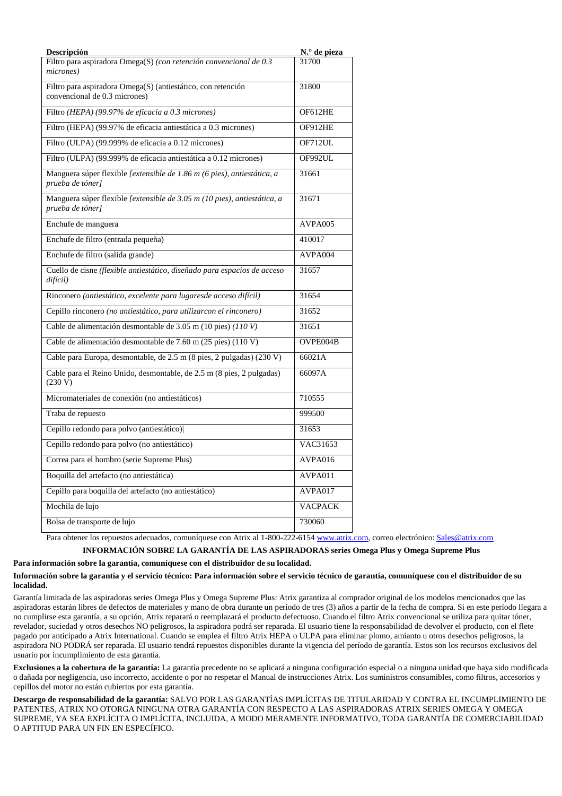| Descripción                                                                                   | N.º de pieza   |
|-----------------------------------------------------------------------------------------------|----------------|
| Filtro para aspiradora Omega(S) (con retención convencional de 0.3<br>micrones)               | 31700          |
| Filtro para aspiradora Omega(S) (antiestático, con retención<br>convencional de 0.3 micrones) | 31800          |
| Filtro (HEPA) (99.97% de eficacia a 0.3 micrones)                                             | OF612HE        |
| Filtro (HEPA) (99.97% de eficacia antiestática a 0.3 micrones)                                | OF912HE        |
| Filtro (ULPA) (99.999% de eficacia a 0.12 micrones)                                           | OF712UL        |
| Filtro (ULPA) (99.999% de eficacia antiestática a 0.12 micrones)                              | OF992UL        |
| Manguera súper flexible [extensible de 1.86 m (6 pies), antiestática, a<br>prueba de tóner]   | 31661          |
| Manguera súper flexible [extensible de 3.05 m (10 pies), antiestática, a<br>prueba de tóner]  | 31671          |
| Enchufe de manguera                                                                           | AVPA005        |
| Enchufe de filtro (entrada pequeña)                                                           | 410017         |
| Enchufe de filtro (salida grande)                                                             | AVPA004        |
| Cuello de cisne (flexible antiestático, diseñado para espacios de acceso<br>difícil)          | 31657          |
| Rinconero (antiestático, excelente para lugaresde acceso difícil)                             | 31654          |
| Cepillo rinconero (no antiestático, para utilizarcon el rinconero)                            | 31652          |
| Cable de alimentación desmontable de 3.05 m (10 pies) (110 V)                                 | 31651          |
| Cable de alimentación desmontable de 7.60 m (25 pies) (110 V)                                 | OVPE004B       |
| Cable para Europa, desmontable, de 2.5 m (8 pies, 2 pulgadas) (230 V)                         | 66021A         |
| Cable para el Reino Unido, desmontable, de 2.5 m (8 pies, 2 pulgadas)<br>(230 V)              | 66097A         |
| Micromateriales de conexión (no antiestáticos)                                                | 710555         |
| Traba de repuesto                                                                             | 999500         |
| Cepillo redondo para polvo (antiestático)                                                     | 31653          |
| Cepillo redondo para polvo (no antiestático)                                                  | VAC31653       |
| Correa para el hombro (serie Supreme Plus)                                                    | AVPA016        |
| Boquilla del artefacto (no antiestática)                                                      | AVPA011        |
| Cepillo para boquilla del artefacto (no antiestático)                                         | AVPA017        |
| Mochila de lujo                                                                               | <b>VACPACK</b> |
| Bolsa de transporte de lujo                                                                   | 730060         |

Para obtener los repuestos adecuados, comuníquese con Atrix al 1-800-222-6154 www.atrix.com, correo electrónico: Sales@atrix.com

# **INFORMACIÓN SOBRE LA GARANTÍA DE LAS ASPIRADORAS series Omega Plus y Omega Supreme Plus**

## **Para información sobre la garantía, comuníquese con el distribuidor de su localidad.**

## **Información sobre la garantía y el servicio técnico: Para información sobre el servicio técnico de garantía, comuníquese con el distribuidor de su localidad.**

Garantía limitada de las aspiradoras series Omega Plus y Omega Supreme Plus: Atrix garantiza al comprador original de los modelos mencionados que las aspiradoras estarán libres de defectos de materiales y mano de obra durante un período de tres (3) años a partir de la fecha de compra. Si en este período llegara a no cumplirse esta garantía, a su opción, Atrix reparará o reemplazará el producto defectuoso. Cuando el filtro Atrix convencional se utiliza para quitar tóner, revelador, suciedad y otros desechos NO peligrosos, la aspiradora podrá ser reparada. El usuario tiene la responsabilidad de devolver el producto, con el flete pagado por anticipado a Atrix International. Cuando se emplea el filtro Atrix HEPA o ULPA para eliminar plomo, amianto u otros desechos peligrosos, la aspiradora NO PODRÁ ser reparada. El usuario tendrá repuestos disponibles durante la vigencia del período de garantía. Estos son los recursos exclusivos del usuario por incumplimiento de esta garantía.

**Exclusiones a la cobertura de la garantía:** La garantía precedente no se aplicará a ninguna configuración especial o a ninguna unidad que haya sido modificada o dañada por negligencia, uso incorrecto, accidente o por no respetar el Manual de instrucciones Atrix. Los suministros consumibles, como filtros, accesorios y cepillos del motor no están cubiertos por esta garantía.

**Descargo de responsabilidad de la garantía:** SALVO POR LAS GARANTÍAS IMPLÍCITAS DE TITULARIDAD Y CONTRA EL INCUMPLIMIENTO DE PATENTES, ATRIX NO OTORGA NINGUNA OTRA GARANTÍA CON RESPECTO A LAS ASPIRADORAS ATRIX SERIES OMEGA Y OMEGA SUPREME, YA SEA EXPLÍCITA O IMPLÍCITA, INCLUIDA, A MODO MERAMENTE INFORMATIVO, TODA GARANTÍA DE COMERCIABILIDAD O APTITUD PARA UN FIN EN ESPECÍFICO.